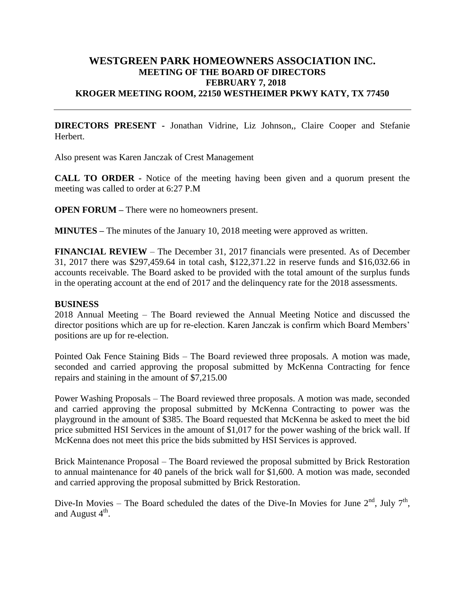## **WESTGREEN PARK HOMEOWNERS ASSOCIATION INC. MEETING OF THE BOARD OF DIRECTORS FEBRUARY 7, 2018 KROGER MEETING ROOM, 22150 WESTHEIMER PKWY KATY, TX 77450**

**DIRECTORS PRESENT -** Jonathan Vidrine, Liz Johnson,, Claire Cooper and Stefanie Herbert.

Also present was Karen Janczak of Crest Management

**CALL TO ORDER -** Notice of the meeting having been given and a quorum present the meeting was called to order at 6:27 P.M

**OPEN FORUM** – There were no homeowners present.

**MINUTES –** The minutes of the January 10, 2018 meeting were approved as written.

**FINANCIAL REVIEW** – The December 31, 2017 financials were presented. As of December 31, 2017 there was \$297,459.64 in total cash, \$122,371.22 in reserve funds and \$16,032.66 in accounts receivable. The Board asked to be provided with the total amount of the surplus funds in the operating account at the end of 2017 and the delinquency rate for the 2018 assessments.

## **BUSINESS**

2018 Annual Meeting – The Board reviewed the Annual Meeting Notice and discussed the director positions which are up for re-election. Karen Janczak is confirm which Board Members' positions are up for re-election.

Pointed Oak Fence Staining Bids – The Board reviewed three proposals. A motion was made, seconded and carried approving the proposal submitted by McKenna Contracting for fence repairs and staining in the amount of \$7,215.00

Power Washing Proposals – The Board reviewed three proposals. A motion was made, seconded and carried approving the proposal submitted by McKenna Contracting to power was the playground in the amount of \$385. The Board requested that McKenna be asked to meet the bid price submitted HSI Services in the amount of \$1,017 for the power washing of the brick wall. If McKenna does not meet this price the bids submitted by HSI Services is approved.

Brick Maintenance Proposal – The Board reviewed the proposal submitted by Brick Restoration to annual maintenance for 40 panels of the brick wall for \$1,600. A motion was made, seconded and carried approving the proposal submitted by Brick Restoration.

Dive-In Movies – The Board scheduled the dates of the Dive-In Movies for June  $2^{nd}$ , July  $7^{th}$ , and August  $4^{\text{th}}$ .